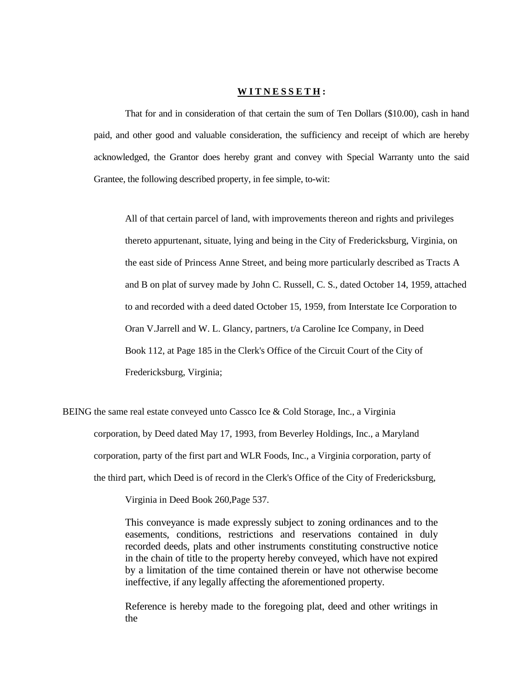## **W I T N E S S E T H :**

That for and in consideration of that certain the sum of Ten Dollars (\$10.00), cash in hand paid, and other good and valuable consideration, the sufficiency and receipt of which are hereby acknowledged, the Grantor does hereby grant and convey with Special Warranty unto the said Grantee, the following described property, in fee simple, to-wit:

All of that certain parcel of land, with improvements thereon and rights and privileges thereto appurtenant, situate, lying and being in the City of Fredericksburg, Virginia, on the east side of Princess Anne Street, and being more particularly described as Tracts A and B on plat of survey made by John C. Russell, C. S., dated October 14, 1959, attached to and recorded with a deed dated October 15, 1959, from Interstate Ice Corporation to Oran V.Jarrell and W. L. Glancy, partners, t/a Caroline Ice Company, in Deed Book 112, at Page 185 in the Clerk's Office of the Circuit Court of the City of Fredericksburg, Virginia;

BEING the same real estate conveyed unto Cassco Ice & Cold Storage, Inc., a Virginia corporation, by Deed dated May 17, 1993, from Beverley Holdings, Inc., a Maryland corporation, party of the first part and WLR Foods, Inc., a Virginia corporation, party of the third part, which Deed is of record in the Clerk's Office of the City of Fredericksburg,

Virginia in Deed Book 260,Page 537.

This conveyance is made expressly subject to zoning ordinances and to the easements, conditions, restrictions and reservations contained in duly recorded deeds, plats and other instruments constituting constructive notice in the chain of title to the property hereby conveyed, which have not expired by a limitation of the time contained therein or have not otherwise become ineffective, if any legally affecting the aforementioned property.

Reference is hereby made to the foregoing plat, deed and other writings in the